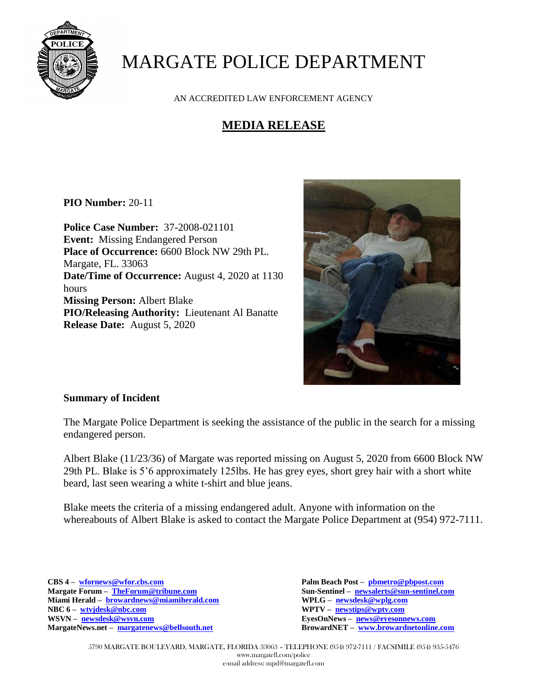

## MARGATE POLICE DEPARTMENT

AN ACCREDITED LAW ENFORCEMENT AGENCY

## **MEDIA RELEASE**

**PIO Number:** 20-11

**Police Case Number:** 37-2008-021101 **Event:** Missing Endangered Person **Place of Occurrence:** 6600 Block NW 29th PL. Margate, FL. 33063 **Date/Time of Occurrence:** August 4, 2020 at 1130 hours **Missing Person:** Albert Blake **PIO/Releasing Authority:** Lieutenant Al Banatte **Release Date:** August 5, 2020



## **Summary of Incident**

The Margate Police Department is seeking the assistance of the public in the search for a missing endangered person.

Albert Blake (11/23/36) of Margate was reported missing on August 5, 2020 from 6600 Block NW 29th PL. Blake is 5'6 approximately 125lbs. He has grey eyes, short grey hair with a short white beard, last seen wearing a white t-shirt and blue jeans.

Blake meets the criteria of a missing endangered adult. Anyone with information on the whereabouts of Albert Blake is asked to contact the Margate Police Department at (954) 972-7111.

**CBS 4 – [wfornews@wfor.cbs.com](mailto:wfornews@wfor.cbs.com) Palm Beach Post – [pbmetro@pbpost.com](mailto:pbmetro@pbpost.com) Miami Herald – [browardnews@miamiherald.com](mailto:browardnews@miamiherald.com) WPLG – [newsdesk@wplg.com](mailto:newsdesk@wplg.com) NBC 6 – [wtvjdesk@nbc.com](mailto:wtvjdesk@nbc.com) WPTV – [newstips@wptv.com](mailto:newstips@wptv.com)  MargateNews.net – [margatenews@bellsouth.net](mailto:margatenews@bellsouth.net)** 

 $\text{Sun-Sentinel} - \text{newsalerts@sun-sentinel.com}$  $\text{Sun-Sentinel} - \text{newsalerts@sun-sentinel.com}$  $\text{Sun-Sentinel} - \text{newsalerts@sun-sentinel.com}$ **EyesOnNews – [news@eyesonnews.com](mailto:news@eyesonnews.com)**<br>**BrowardNET – www.browardnetonline.com** 

5790 MARGATE BOULEVARD, MARGATE, FLORIDA 33063 – TELEPHONE (954) 972-7111 / FACSIMILE (954) 935-5476 www.margatefl.com/police e-mail address: mpd@margatefl.com